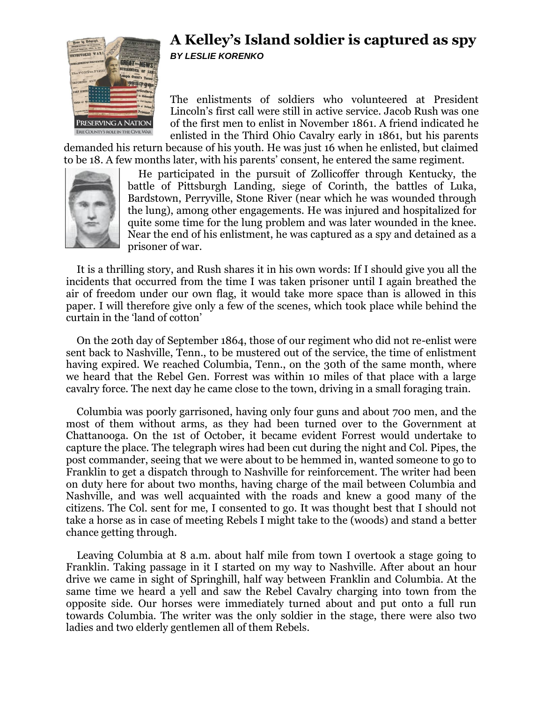

## **A Kelley's Island soldier is captured as spy** *BY LESLIE KORENKO*

The enlistments of soldiers who volunteered at President Lincoln's first call were still in active service. Jacob Rush was one of the first men to enlist in November 1861. A friend indicated he enlisted in the Third Ohio Cavalry early in 1861, but his parents

demanded his return because of his youth. He was just 16 when he enlisted, but claimed to be 18. A few months later, with his parents' consent, he entered the same regiment.



He participated in the pursuit of Zollicoffer through Kentucky, the battle of Pittsburgh Landing, siege of Corinth, the battles of Luka, Bardstown, Perryville, Stone River (near which he was wounded through the lung), among other engagements. He was injured and hospitalized for quite some time for the lung problem and was later wounded in the knee. Near the end of his enlistment, he was captured as a spy and detained as a prisoner of war.

It is a thrilling story, and Rush shares it in his own words: If I should give you all the incidents that occurred from the time I was taken prisoner until I again breathed the air of freedom under our own flag, it would take more space than is allowed in this paper. I will therefore give only a few of the scenes, which took place while behind the curtain in the 'land of cotton'

On the 20th day of September 1864, those of our regiment who did not re-enlist were sent back to Nashville, Tenn., to be mustered out of the service, the time of enlistment having expired. We reached Columbia, Tenn., on the 30th of the same month, where we heard that the Rebel Gen. Forrest was within 10 miles of that place with a large cavalry force. The next day he came close to the town, driving in a small foraging train.

Columbia was poorly garrisoned, having only four guns and about 700 men, and the most of them without arms, as they had been turned over to the Government at Chattanooga. On the 1st of October, it became evident Forrest would undertake to capture the place. The telegraph wires had been cut during the night and Col. Pipes, the post commander, seeing that we were about to be hemmed in, wanted someone to go to Franklin to get a dispatch through to Nashville for reinforcement. The writer had been on duty here for about two months, having charge of the mail between Columbia and Nashville, and was well acquainted with the roads and knew a good many of the citizens. The Col. sent for me, I consented to go. It was thought best that I should not take a horse as in case of meeting Rebels I might take to the (woods) and stand a better chance getting through.

Leaving Columbia at 8 a.m. about half mile from town I overtook a stage going to Franklin. Taking passage in it I started on my way to Nashville. After about an hour drive we came in sight of Springhill, half way between Franklin and Columbia. At the same time we heard a yell and saw the Rebel Cavalry charging into town from the opposite side. Our horses were immediately turned about and put onto a full run towards Columbia. The writer was the only soldier in the stage, there were also two ladies and two elderly gentlemen all of them Rebels.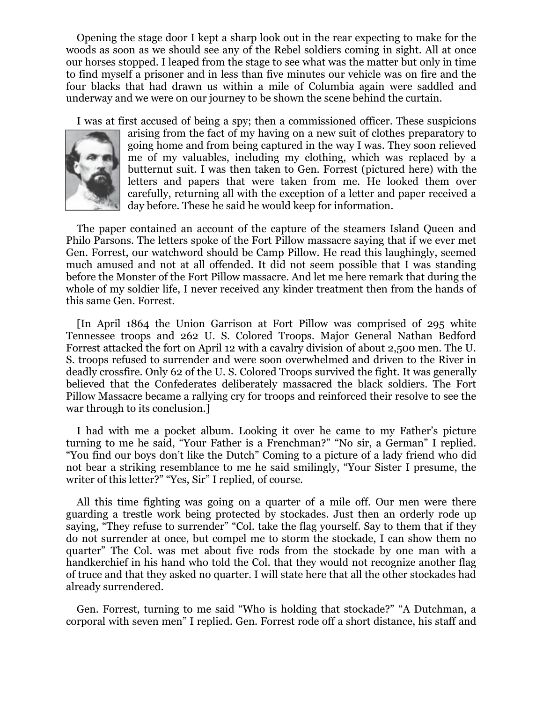Opening the stage door I kept a sharp look out in the rear expecting to make for the woods as soon as we should see any of the Rebel soldiers coming in sight. All at once our horses stopped. I leaped from the stage to see what was the matter but only in time to find myself a prisoner and in less than five minutes our vehicle was on fire and the four blacks that had drawn us within a mile of Columbia again were saddled and underway and we were on our journey to be shown the scene behind the curtain.

I was at first accused of being a spy; then a commissioned officer. These suspicions



arising from the fact of my having on a new suit of clothes preparatory to going home and from being captured in the way I was. They soon relieved me of my valuables, including my clothing, which was replaced by a butternut suit. I was then taken to Gen. Forrest (pictured here) with the letters and papers that were taken from me. He looked them over carefully, returning all with the exception of a letter and paper received a day before. These he said he would keep for information.

The paper contained an account of the capture of the steamers Island Queen and Philo Parsons. The letters spoke of the Fort Pillow massacre saying that if we ever met Gen. Forrest, our watchword should be Camp Pillow. He read this laughingly, seemed much amused and not at all offended. It did not seem possible that I was standing before the Monster of the Fort Pillow massacre. And let me here remark that during the whole of my soldier life, I never received any kinder treatment then from the hands of this same Gen. Forrest.

[In April 1864 the Union Garrison at Fort Pillow was comprised of 295 white Tennessee troops and 262 U. S. Colored Troops. Major General Nathan Bedford Forrest attacked the fort on April 12 with a cavalry division of about 2,500 men. The U. S. troops refused to surrender and were soon overwhelmed and driven to the River in deadly crossfire. Only 62 of the U. S. Colored Troops survived the fight. It was generally believed that the Confederates deliberately massacred the black soldiers. The Fort Pillow Massacre became a rallying cry for troops and reinforced their resolve to see the war through to its conclusion.]

I had with me a pocket album. Looking it over he came to my Father's picture turning to me he said, "Your Father is a Frenchman?" "No sir, a German" I replied. "You find our boys don't like the Dutch" Coming to a picture of a lady friend who did not bear a striking resemblance to me he said smilingly, "Your Sister I presume, the writer of this letter?" "Yes, Sir" I replied, of course.

All this time fighting was going on a quarter of a mile off. Our men were there guarding a trestle work being protected by stockades. Just then an orderly rode up saying, "They refuse to surrender" "Col. take the flag yourself. Say to them that if they do not surrender at once, but compel me to storm the stockade, I can show them no quarter" The Col. was met about five rods from the stockade by one man with a handkerchief in his hand who told the Col. that they would not recognize another flag of truce and that they asked no quarter. I will state here that all the other stockades had already surrendered.

Gen. Forrest, turning to me said "Who is holding that stockade?" "A Dutchman, a corporal with seven men" I replied. Gen. Forrest rode off a short distance, his staff and